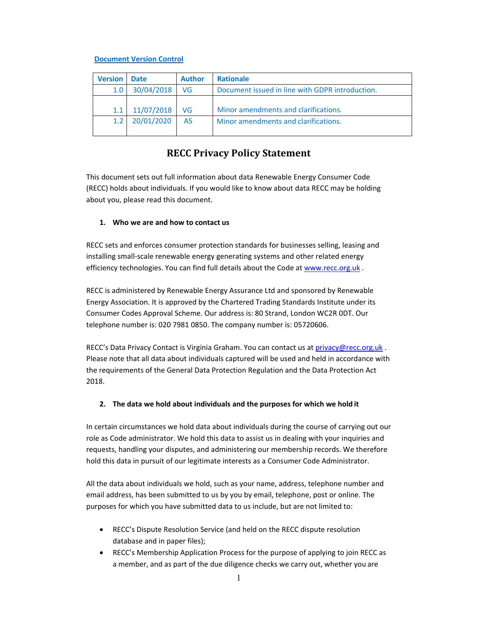#### **Document Version Control**

| <b>Version</b> | <b>Date</b> | <b>Author</b> | <b>Rationale</b>                                |
|----------------|-------------|---------------|-------------------------------------------------|
| 1.0            | 30/04/2018  | VG            | Document issued in line with GDPR introduction. |
|                |             |               |                                                 |
| 1.1            | 11/07/2018  | VG            | Minor amendments and clarifications.            |
| 1.2            | 20/01/2020  | <b>AS</b>     | Minor amendments and clarifications.            |
|                |             |               |                                                 |

# **RECC Privacy Policy Statement**

This document sets out full information about data Renewable Energy Consumer Code (RECC) holds about individuals. If you would like to know about data RECC may be holding about you, please read this document.

#### **1. Who we are and how to contact us**

RECC sets and enforces consumer protection standards for businesses selling, leasing and installing small‐scale renewable energy generating systems and other related energy efficiency technologies. You can find full details about the Code at www.recc.org.uk .

RECC is administered by Renewable Energy Assurance Ltd and sponsored by Renewable Energy Association. It is approved by the Chartered Trading Standards Institute under its Consumer Codes Approval Scheme. Our address is: 80 Strand, London WC2R 0DT. Our telephone number is: 020 7981 0850. The company number is: 05720606.

RECC's Data Privacy Contact is Virginia Graham. You can contact us at privacy@recc.org.uk. Please note that all data about individuals captured will be used and held in accordance with the requirements of the General Data Protection Regulation and the Data Protection Act 2018.

#### **2. The data we hold about individuals and the purposes for which we hold it**

In certain circumstances we hold data about individuals during the course of carrying out our role as Code administrator. We hold this data to assist us in dealing with your inquiries and requests, handling your disputes, and administering our membership records. We therefore hold this data in pursuit of our legitimate interests as a Consumer Code Administrator.

All the data about individuals we hold, such as your name, address, telephone number and email address, has been submitted to us by you by email, telephone, post or online. The purposes for which you have submitted data to us include, but are not limited to:

- RECC's Dispute Resolution Service (and held on the RECC dispute resolution database and in paper files);
- RECC's Membership Application Process for the purpose of applying to join RECC as a member, and as part of the due diligence checks we carry out, whether you are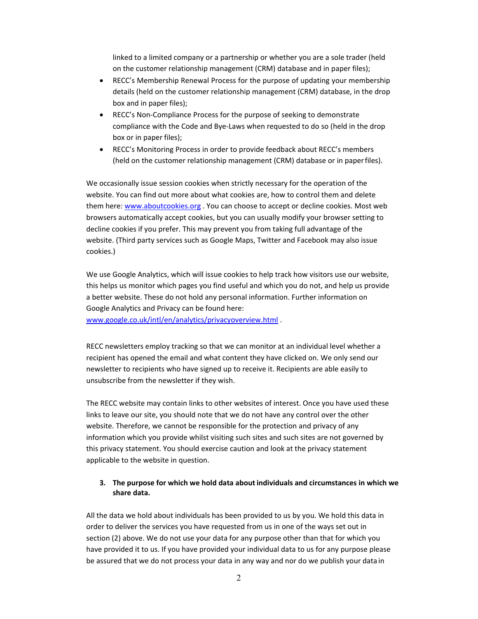linked to a limited company or a partnership or whether you are a sole trader (held on the customer relationship management (CRM) database and in paper files);

- RECC's Membership Renewal Process for the purpose of updating your membership details (held on the customer relationship management (CRM) database, in the drop box and in paper files);
- RECC's Non‐Compliance Process for the purpose of seeking to demonstrate compliance with the Code and Bye‐Laws when requested to do so (held in the drop box or in paper files);
- RECC's Monitoring Process in order to provide feedback about RECC's members (held on the customer relationship management (CRM) database or in paper files).

We occasionally issue session cookies when strictly necessary for the operation of the website. You can find out more about what cookies are, how to control them and delete them here: www.aboutcookies.org . You can choose to accept or decline cookies. Most web browsers automatically accept cookies, but you can usually modify your browser setting to decline cookies if you prefer. This may prevent you from taking full advantage of the website. (Third party services such as Google Maps, Twitter and Facebook may also issue cookies.)

We use Google Analytics, which will issue cookies to help track how visitors use our website, this helps us monitor which pages you find useful and which you do not, and help us provide a better website. These do not hold any personal information. Further information on Google Analytics and Privacy can be found here: www.google.co.uk/intl/en/analytics/privacyoverview.html .

RECC newsletters employ tracking so that we can monitor at an individual level whether a recipient has opened the email and what content they have clicked on. We only send our newsletter to recipients who have signed up to receive it. Recipients are able easily to unsubscribe from the newsletter if they wish.

The RECC website may contain links to other websites of interest. Once you have used these links to leave our site, you should note that we do not have any control over the other website. Therefore, we cannot be responsible for the protection and privacy of any information which you provide whilst visiting such sites and such sites are not governed by this privacy statement. You should exercise caution and look at the privacy statement applicable to the website in question.

### **3. The purpose for which we hold data about individuals and circumstances in which we share data.**

All the data we hold about individuals has been provided to us by you. We hold this data in order to deliver the services you have requested from us in one of the ways set out in section (2) above. We do not use your data for any purpose other than that for which you have provided it to us. If you have provided your individual data to us for any purpose please be assured that we do not process your data in any way and nor do we publish your data in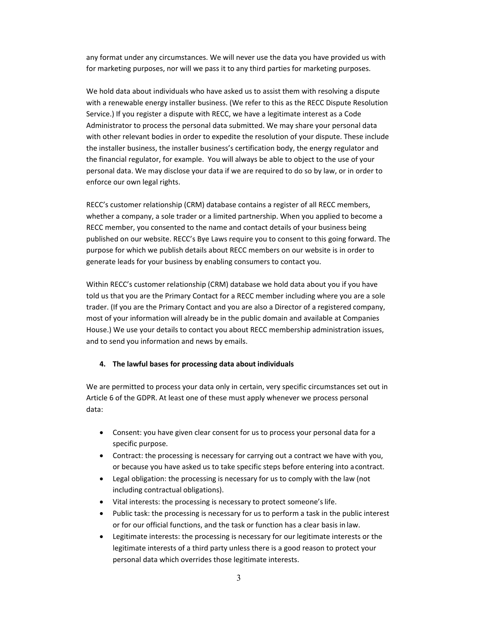any format under any circumstances. We will never use the data you have provided us with for marketing purposes, nor will we pass it to any third parties for marketing purposes.

We hold data about individuals who have asked us to assist them with resolving a dispute with a renewable energy installer business. (We refer to this as the RECC Dispute Resolution Service.) If you register a dispute with RECC, we have a legitimate interest as a Code Administrator to process the personal data submitted. We may share your personal data with other relevant bodies in order to expedite the resolution of your dispute. These include the installer business, the installer business's certification body, the energy regulator and the financial regulator, for example. You will always be able to object to the use of your personal data. We may disclose your data if we are required to do so by law, or in order to enforce our own legal rights.

RECC's customer relationship (CRM) database contains a register of all RECC members, whether a company, a sole trader or a limited partnership. When you applied to become a RECC member, you consented to the name and contact details of your business being published on our website. RECC's Bye Laws require you to consent to this going forward. The purpose for which we publish details about RECC members on our website is in order to generate leads for your business by enabling consumers to contact you.

Within RECC's customer relationship (CRM) database we hold data about you if you have told us that you are the Primary Contact for a RECC member including where you are a sole trader. (If you are the Primary Contact and you are also a Director of a registered company, most of your information will already be in the public domain and available at Companies House.) We use your details to contact you about RECC membership administration issues, and to send you information and news by emails.

#### **4. The lawful bases for processing data about individuals**

We are permitted to process your data only in certain, very specific circumstances set out in Article 6 of the GDPR. At least one of these must apply whenever we process personal data:

- Consent: you have given clear consent for us to process your personal data for a specific purpose.
- Contract: the processing is necessary for carrying out a contract we have with you, or because you have asked us to take specific steps before entering into a contract.
- Legal obligation: the processing is necessary for us to comply with the law (not including contractual obligations).
- Vital interests: the processing is necessary to protect someone's life.
- Public task: the processing is necessary for us to perform a task in the public interest or for our official functions, and the task or function has a clear basis in law.
- Legitimate interests: the processing is necessary for our legitimate interests or the legitimate interests of a third party unless there is a good reason to protect your personal data which overrides those legitimate interests.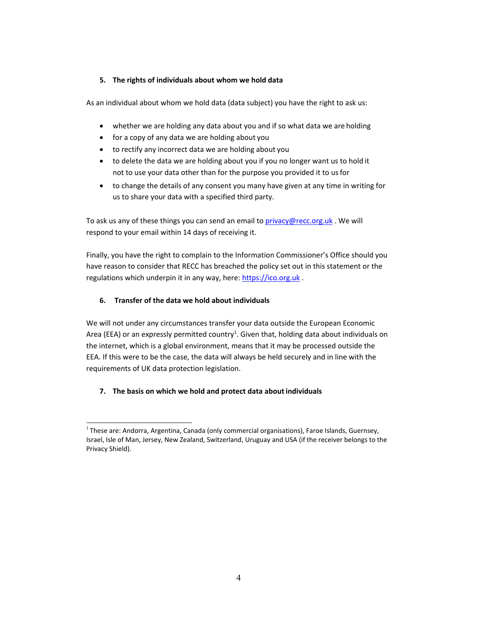## **5. The rights of individuals about whom we hold data**

As an individual about whom we hold data (data subject) you have the right to ask us:

- whether we are holding any data about you and if so what data we are holding
- for a copy of any data we are holding about you
- to rectify any incorrect data we are holding about you
- to delete the data we are holding about you if you no longer want us to hold it not to use your data other than for the purpose you provided it to us for
- to change the details of any consent you many have given at any time in writing for us to share your data with a specified third party.

To ask us any of these things you can send an email to privacy@recc.org.uk. We will respond to your email within 14 days of receiving it.

Finally, you have the right to complain to the Information Commissioner's Office should you have reason to consider that RECC has breached the policy set out in this statement or the regulations which underpin it in any way, here: https://ico.org.uk.

## **6. Transfer of the data we hold about individuals**

We will not under any circumstances transfer your data outside the European Economic Area (EEA) or an expressly permitted country<sup>1</sup>. Given that, holding data about individuals on the internet, which is a global environment, means that it may be processed outside the EEA. If this were to be the case, the data will always be held securely and in line with the requirements of UK data protection legislation.

## **7. The basis on which we hold and protect data about individuals**

 $<sup>1</sup>$  These are: Andorra, Argentina, Canada (only commercial organisations), Faroe Islands, Guernsey,</sup> Israel, Isle of Man, Jersey, New Zealand, Switzerland, Uruguay and USA (if the receiver belongs to the Privacy Shield).